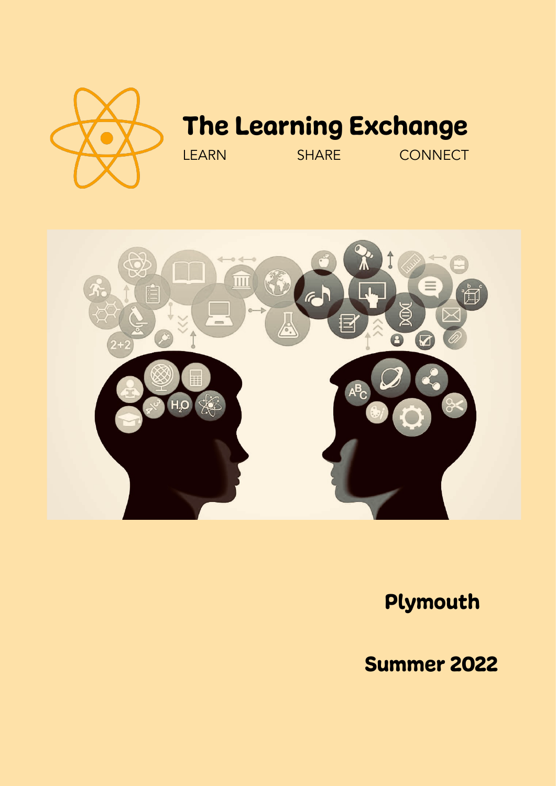

# The Learning Exchange

LEARN SHARE CONNECT



## Plymouth

Summer 2022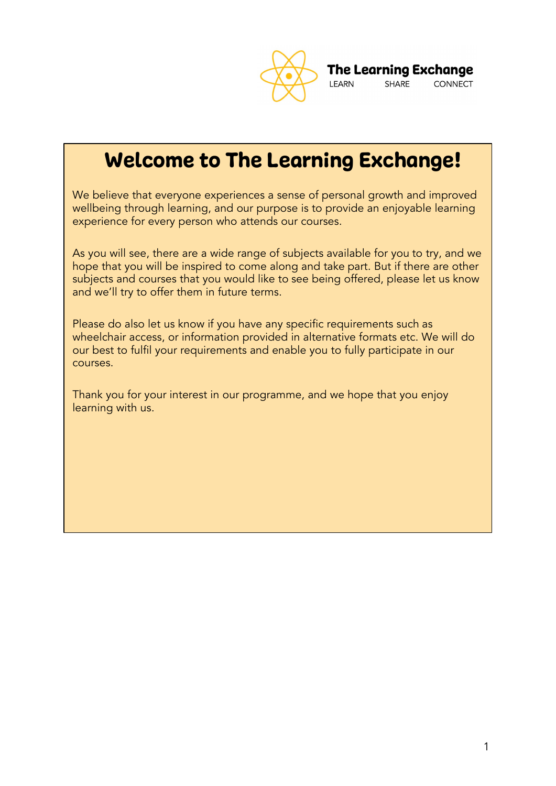

**The Learning Exchange** SHARE **CONNECT LEARN** 

Welcome to The Learning Exchange!

We believe that everyone experiences a sense of personal growth and improved wellbeing through learning, and our purpose is to provide an enjoyable learning experience for every person who attends our courses.

As you will see, there are a wide range of subjects available for you to try, and we hope that you will be inspired to come along and take part. But if there are other subjects and courses that you would like to see being offered, please let us know and we'll try to offer them in future terms.

Please do also let us know if you have any specific requirements such as wheelchair access, or information provided in alternative formats etc. We will do our best to fulfil your requirements and enable you to fully participate in our courses.

Thank you for your interest in our programme, and we hope that you enjoy learning with us.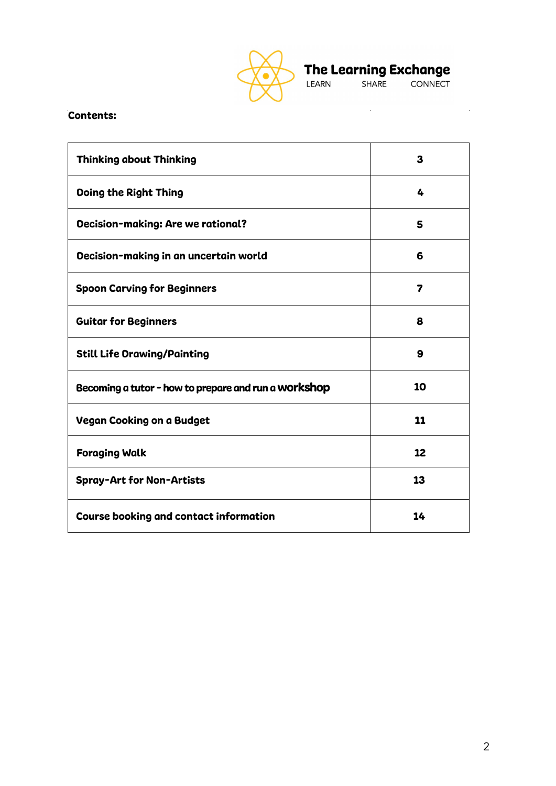

The Learning Exchange<br>LEARN SHARE CONNECT

 $\label{eq:2.1} \frac{1}{2} \sum_{i=1}^n \frac{1}{2} \sum_{j=1}^n \frac{1}{2} \sum_{j=1}^n \frac{1}{2} \sum_{j=1}^n \frac{1}{2} \sum_{j=1}^n \frac{1}{2} \sum_{j=1}^n \frac{1}{2} \sum_{j=1}^n \frac{1}{2} \sum_{j=1}^n \frac{1}{2} \sum_{j=1}^n \frac{1}{2} \sum_{j=1}^n \frac{1}{2} \sum_{j=1}^n \frac{1}{2} \sum_{j=1}^n \frac{1}{2} \sum_{j=1}^n \frac{$ 

## Contents:

| <b>Thinking about Thinking</b>                       | 3  |
|------------------------------------------------------|----|
| <b>Doing the Right Thing</b>                         | 4  |
| <b>Decision-making: Are we rational?</b>             | 5  |
| Decision-making in an uncertain world                | 6  |
| <b>Spoon Carving for Beginners</b>                   | 7  |
| <b>Guitar for Beginners</b>                          | 8  |
| <b>Still Life Orawing/Painting</b>                   | 9  |
| Becoming a tutor - how to prepare and run a Workshop | 10 |
| <b>Vegan Cooking on a Budget</b>                     | 11 |
| <b>Foraging Walk</b>                                 | 12 |
| <b>Spray-Art for Non-Artists</b>                     | 13 |
| <b>Course booking and contact information</b>        | 14 |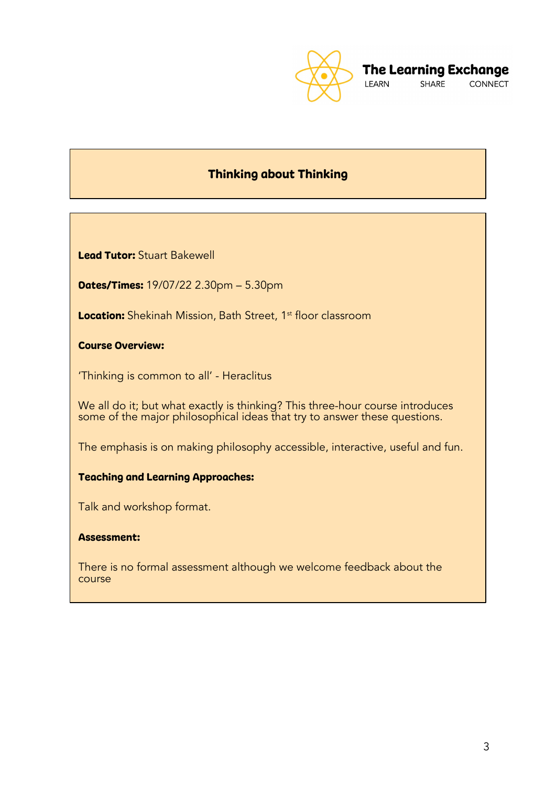

## Thinking about Thinking

Lead Tutor: Stuart Bakewell

Dates/Times: 19/07/22 2.30pm – 5.30pm

Location: Shekinah Mission, Bath Street, 1<sup>st</sup> floor classroom

Course Overview:

'Thinking is common to all' - Heraclitus

We all do it; but what exactly is thinking? This three-hour course introduces some of the major philosophical ideas that try to answer these questions.

The emphasis is on making philosophy accessible, interactive, useful and fun.

## Teaching and Learning Approaches:

Talk and workshop format.

## Assessment:

There is no formal assessment although we welcome feedback about the course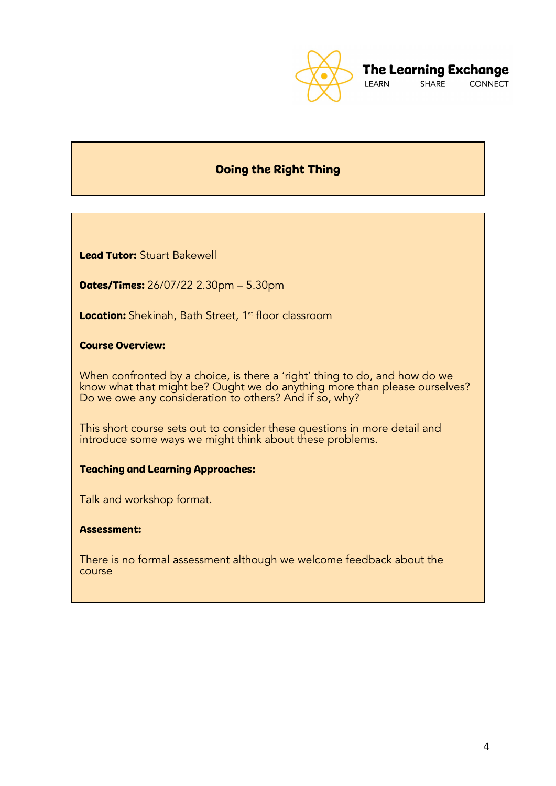

## Doing the Right Thing

Lead Tutor: Stuart Bakewell

Dates/Times: 26/07/22 2.30pm – 5.30pm

Location: Shekinah, Bath Street, 1<sup>st</sup> floor classroom

Course Overview:

When confronted by a choice, is there a 'right' thing to do, and how do we know what that might be? Ought we do anything more than please ourselves? Do we owe any consideration to others? And if so, why?

This short course sets out to consider these questions in more detail and introduce some ways we might think about these problems.

## Teaching and Learning Approaches:

Talk and workshop format.

#### Assessment:

There is no formal assessment although we welcome feedback about the course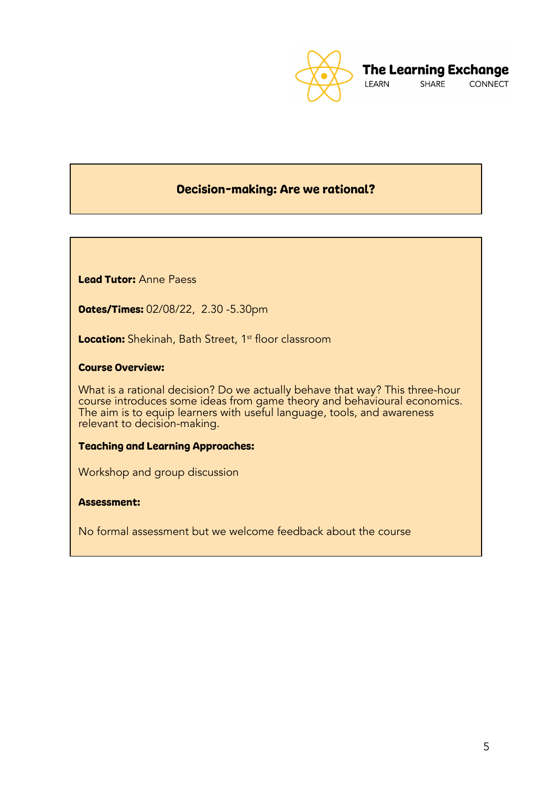

## Decision-making: Are we rational?

Lead Tutor: Anne Paess

Dates/Times: 02/08/22, 2.30 -5.30pm

Location: Shekinah, Bath Street, 1<sup>st</sup> floor classroom

### Course Overview:

What is a rational decision? Do we actually behave that way? This three-hour course introduces some ideas from game theory and behavioural economics. The aim is to equip learners with useful language, tools, and awareness relevant to decision-making.

### Teaching and Learning Approaches:

Workshop and group discussion

### Assessment:

No formal assessment but we welcome feedback about the course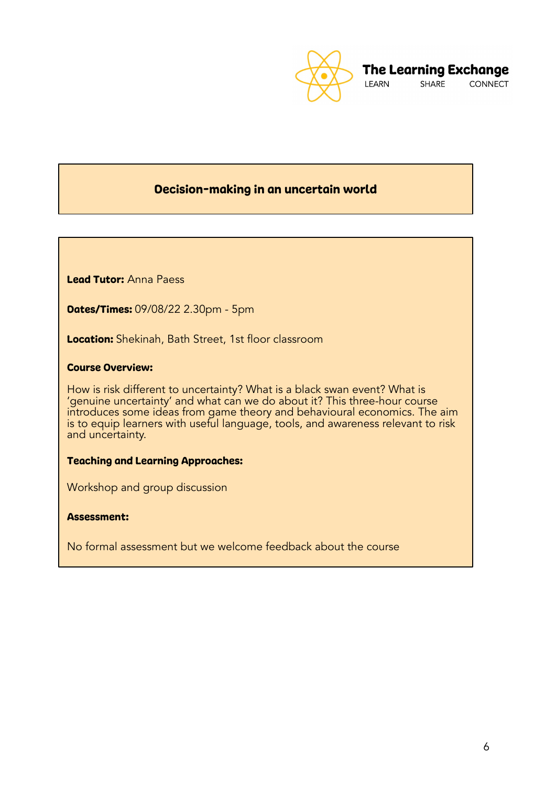

## Decision-making in an uncertain world

Lead Tutor: Anna Paess

Dates/Times: 09/08/22 2.30pm - 5pm

Location: Shekinah, Bath Street, 1st floor classroom

### Course Overview:

How is risk different to uncertainty? What is a black swan event? What is 'genuine uncertainty' and what can we do about it? This three-hour course introduces some ideas from game theory and behavioural economics. The aim is to equip learners with useful language, tools, and awareness relevant to risk and uncertainty.

#### Teaching and Learning Approaches:

Workshop and group discussion

## Assessment:

No formal assessment but we welcome feedback about the course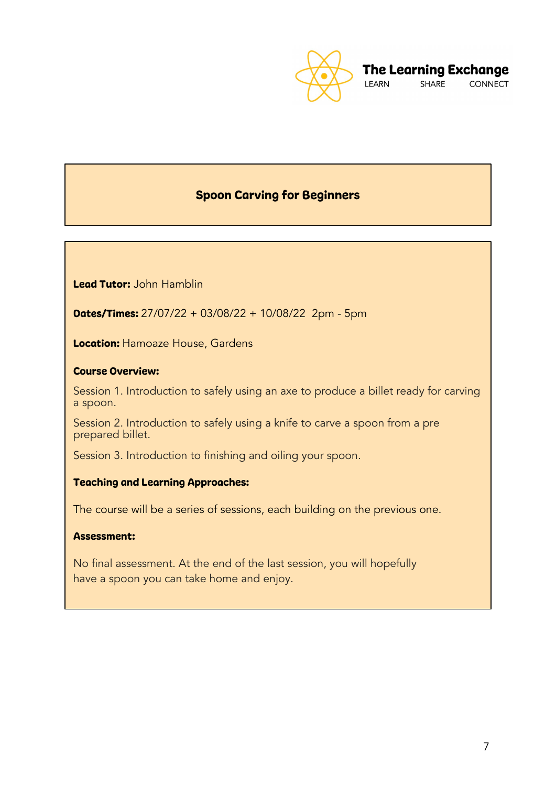

## Spoon Carving for Beginners

Lead Tutor: John Hamblin

Dates/Times: 27/07/22 + 03/08/22 + 10/08/22 2pm - 5pm

**Location: Hamoaze House, Gardens** 

#### Course Overview:

Session 1. Introduction to safely using an axe to produce a billet ready for carving a spoon.

Session 2. Introduction to safely using a knife to carve a spoon from a pre prepared billet.

Session 3. Introduction to finishing and oiling your spoon.

## Teaching and Learning Approaches:

The course will be a series of sessions, each building on the previous one.

#### Assessment:

No final assessment. At the end of the last session, you will hopefully have a spoon you can take home and enjoy.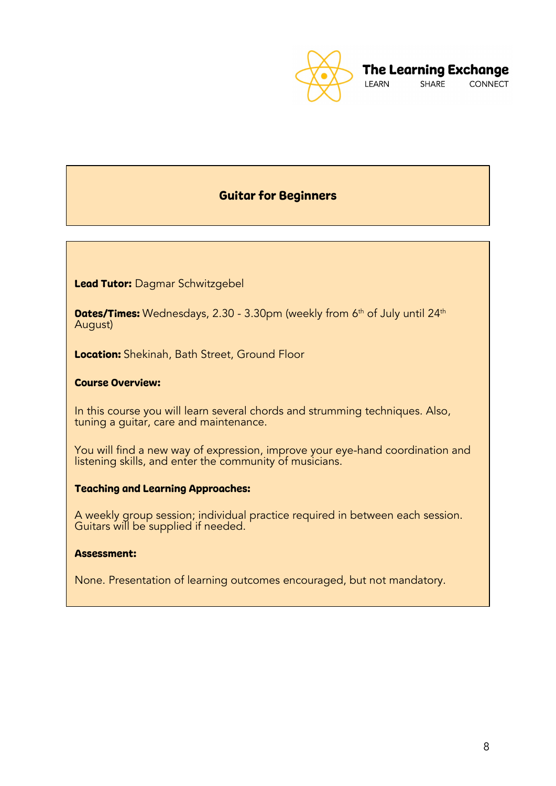

## Guitar for Beginners

Lead Tutor: Dagmar Schwitzgebel

**Dates/Times:** Wednesdays, 2.30 - 3.30pm (weekly from 6<sup>th</sup> of July until 24<sup>th</sup> August)

Location: Shekinah, Bath Street, Ground Floor

## Course Overview:

In this course you will learn several chords and strumming techniques. Also, tuning a guitar, care and maintenance.

You will find a new way of expression, improve your eye-hand coordination and listening skills, and enter the community of musicians.

## Teaching and Learning Approaches:

A weekly group session; individual practice required in between each session. Guitars will be supplied if needed.

#### Assessment:

None. Presentation of learning outcomes encouraged, but not mandatory.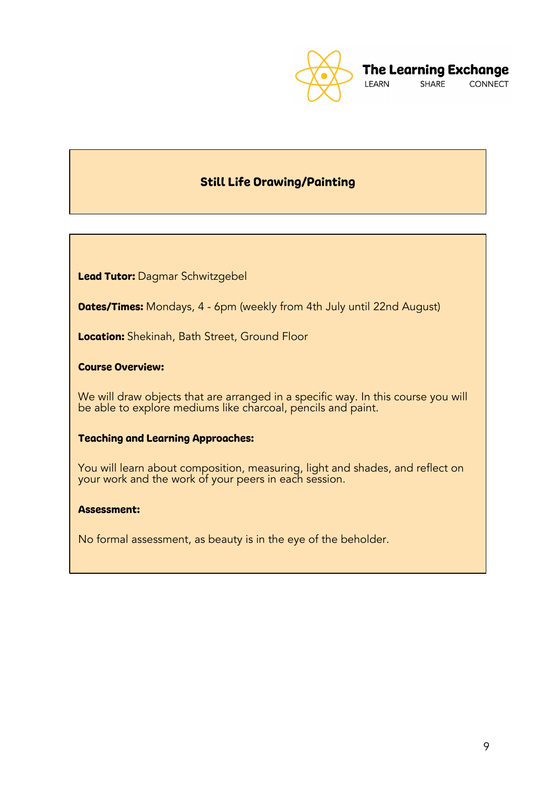![](_page_9_Picture_0.jpeg)

## Still Life Drawing/Painting

Lead Tutor: Dagmar Schwitzgebel

**Dates/Times:** Mondays, 4 - 6pm (weekly from 4th July until 22nd August)

Location: Shekinah, Bath Street, Ground Floor

## Course Overview:

We will draw objects that are arranged in a specific way. In this course you will be able to explore mediums like charcoal, pencils and paint.

## Teaching and Learning Approaches:

You will learn about composition, measuring, light and shades, and reflect on your work and the work of your peers in each session.

## Assessment:

No formal assessment, as beauty is in the eye of the beholder.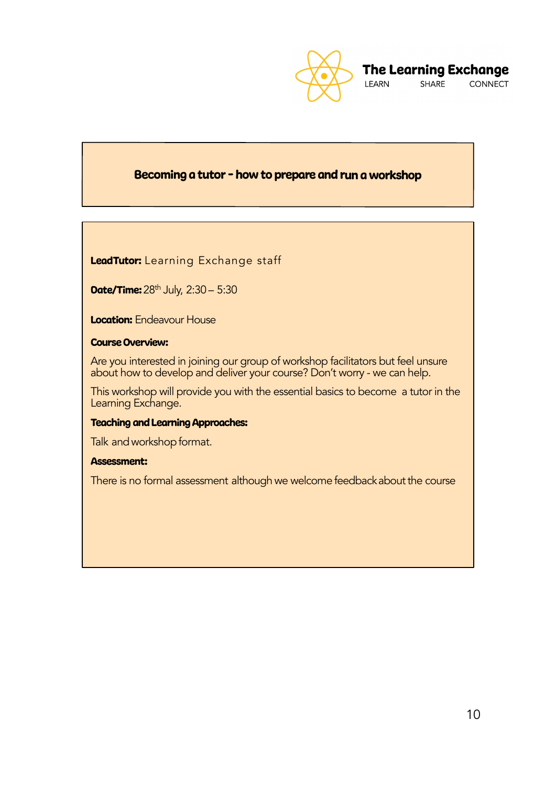![](_page_10_Picture_0.jpeg)

## Becoming <sup>a</sup> tutor - how to prepare and run <sup>a</sup> workshop

LeadTutor: Learning Exchange staff

**Date/Time:**  $28^{th}$  July,  $2:30 - 5:30$ 

**Location:** Endeavour House

## Course Overview:

Are you interested in joining our group of workshop facilitators but feel unsure about how to develop and deliver your course? Don't worry - we can help.

This workshop will provide you with the essential basics to become a tutor in the Learning Exchange.

#### Teaching and Learning Approaches:

Talk and workshop format.

#### Assessment:

There is no formal assessment although we welcome feedback about the course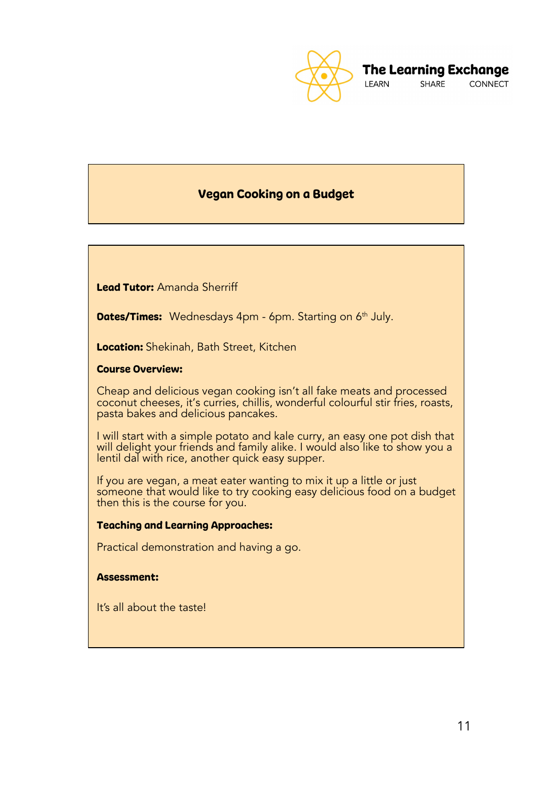![](_page_11_Picture_0.jpeg)

## Vegan Cooking on a Budget

Lead Tutor: Amanda Sherriff

**Dates/Times:** Wednesdays 4pm - 6pm. Starting on 6<sup>th</sup> July.

Location: Shekinah, Bath Street, Kitchen

## Course Overview:

Cheap and delicious vegan cooking isn't all fake meats and processed coconut cheeses, it's curries, chillis, wonderful colourful stir fries, roasts, pasta bakes and delicious pancakes.

I will start with a simple potato and kale curry, an easy one pot dish that will delight your friends and family alike. I would also like to show you a lentil dal with rice, another quick easy supper.

If you are vegan, a meat eater wanting to mix it up a little or just someone that would like to try cooking easy delicious food on a budget then this is the course for you.

#### Teaching and Learning Approaches:

Practical demonstration and having a go.

### Assessment:

It's all about the taste!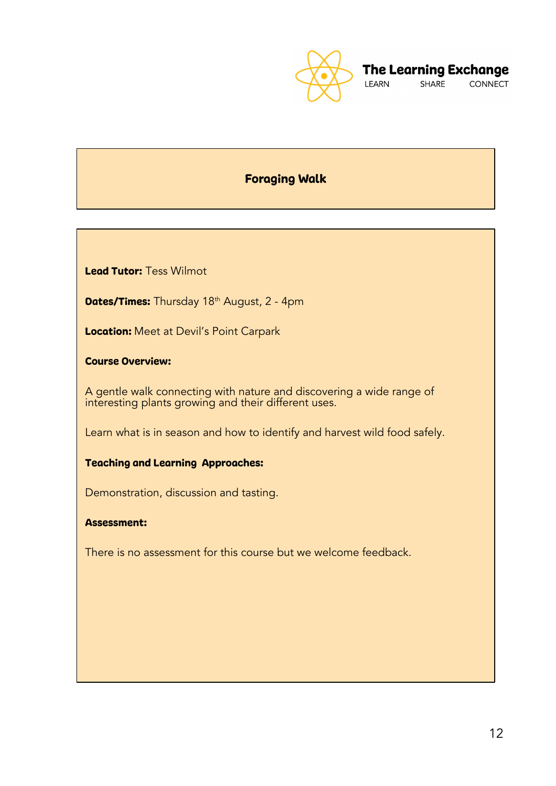![](_page_12_Picture_0.jpeg)

## Foraging Walk

Lead Tutor: Tess Wilmot

Dates/Times: Thursday 18<sup>th</sup> August, 2 - 4pm

**Location:** Meet at Devil's Point Carpark

Course Overview:

A gentle walk connecting with nature and discovering a wide range of interesting plants growing and their different uses.

Learn what is in season and how to identify and harvest wild food safely.

## Teaching and Learning Approaches:

Demonstration, discussion and tasting.

## Assessment:

There is no assessment for this course but we welcome feedback.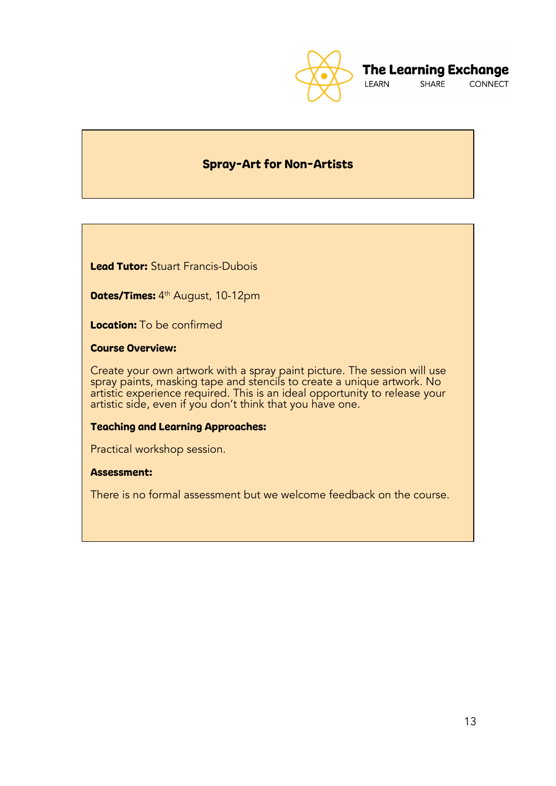![](_page_13_Picture_0.jpeg)

## **The Learning Exchange**

SHARE **CONNECT** 

## Spray-Art for Non-Artists

Lead Tutor: Stuart Francis-Dubois

**Dates/Times:** 4th August, 10-12pm

Location: To be confirmed

Course Overview:

Create your own artwork with a spray paint picture. The session will use spray paints, masking tape and stencils to create a unique artwork. No artistic experience required. This is an ideal opportunity to release your artistic side, even if you don't think that you have one.

## Teaching and Learning Approaches:

Practical workshop session.

#### Assessment:

There is no formal assessment but we welcome feedback on the course.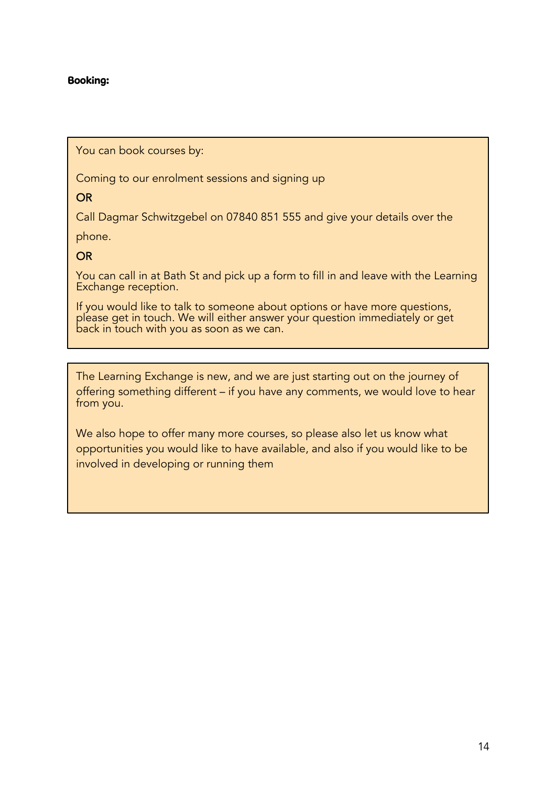## Booking:

You can book courses by:

Coming to our enrolment sessions and signing up

OR

Call Dagmar Schwitzgebel on 07840 851 555 and give your details over the

phone.

## OR

You can call in at Bath St and pick up a form to fill in and leave with the Learning Exchange reception.

If you would like to talk to someone about options or have more questions, please get in touch. We will either answer your question immediately or get back in touch with you as soon as we can.

The Learning Exchange is new, and we are just starting out on the journey of offering something different – if you have any comments, we would love to hear from you.

We also hope to offer many more courses, so please also let us know what opportunities you would like to have available, and also if you would like to be involved in developing or running them